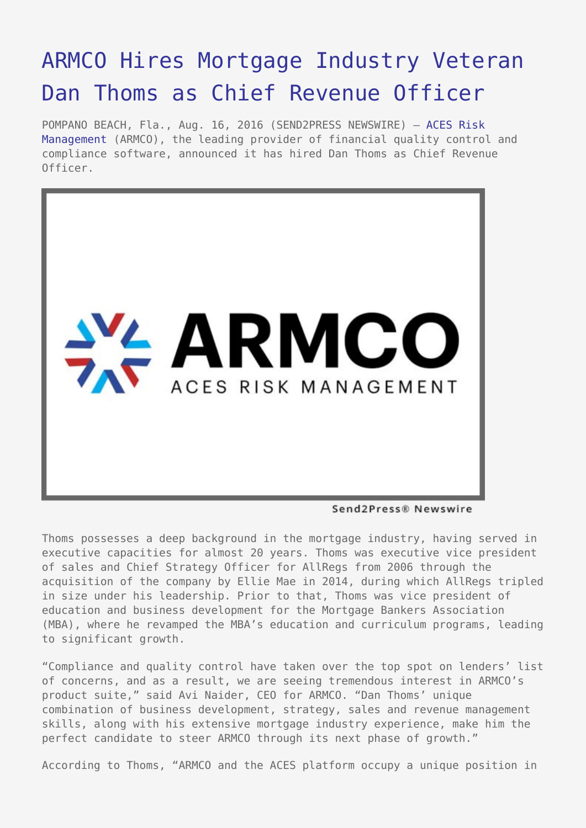## [ARMCO Hires Mortgage Industry Veteran](https://www.send2press.com/wire/armco-hires-mortgage-industry-veteran-dan-thoms-as-chief-revenue-officer/) [Dan Thoms as Chief Revenue Officer](https://www.send2press.com/wire/armco-hires-mortgage-industry-veteran-dan-thoms-as-chief-revenue-officer/)

POMPANO BEACH, Fla., Aug. 16, 2016 (SEND2PRESS NEWSWIRE) — [ACES Risk](http://www.armco.us/) [Management](http://www.armco.us/) (ARMCO), the leading provider of financial quality control and compliance software, announced it has hired Dan Thoms as Chief Revenue Officer.



Send2Press® Newswire

Thoms possesses a deep background in the mortgage industry, having served in executive capacities for almost 20 years. Thoms was executive vice president of sales and Chief Strategy Officer for AllRegs from 2006 through the acquisition of the company by Ellie Mae in 2014, during which AllRegs tripled in size under his leadership. Prior to that, Thoms was vice president of education and business development for the Mortgage Bankers Association (MBA), where he revamped the MBA's education and curriculum programs, leading to significant growth.

"Compliance and quality control have taken over the top spot on lenders' list of concerns, and as a result, we are seeing tremendous interest in ARMCO's product suite," said Avi Naider, CEO for ARMCO. "Dan Thoms' unique combination of business development, strategy, sales and revenue management skills, along with his extensive mortgage industry experience, make him the perfect candidate to steer ARMCO through its next phase of growth."

According to Thoms, "ARMCO and the ACES platform occupy a unique position in